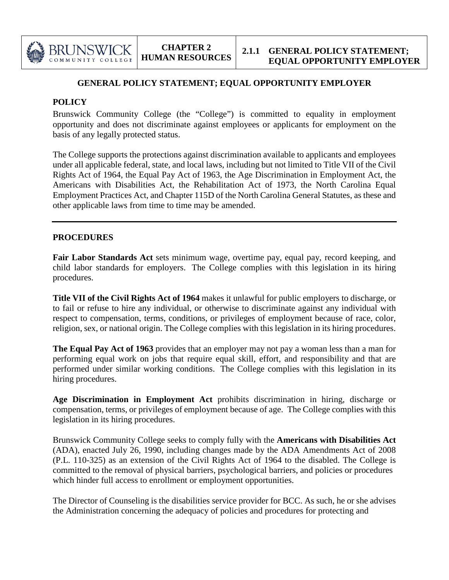

## **GENERAL POLICY STATEMENT; EQUAL OPPORTUNITY EMPLOYER**

## **POLICY**

Brunswick Community College (the "College") is committed to equality in employment opportunity and does not discriminate against employees or applicants for employment on the basis of any legally protected status.

The College supports the protections against discrimination available to applicants and employees under all applicable federal, state, and local laws, including but not limited to Title VII of the Civil Rights Act of 1964, the Equal Pay Act of 1963, the Age Discrimination in Employment Act, the Americans with Disabilities Act, the Rehabilitation Act of 1973, the North Carolina Equal Employment Practices Act, and Chapter 115D of the North Carolina General Statutes, as these and other applicable laws from time to time may be amended.

## **PROCEDURES**

**Fair Labor Standards Act** sets minimum wage, overtime pay, equal pay, record keeping, and child labor standards for employers. The College complies with this legislation in its hiring procedures.

**Title VII of the Civil Rights Act of 1964** makes it unlawful for public employers to discharge, or to fail or refuse to hire any individual, or otherwise to discriminate against any individual with respect to compensation, terms, conditions, or privileges of employment because of race, color, religion, sex, or national origin. The College complies with this legislation in its hiring procedures.

**The Equal Pay Act of 1963** provides that an employer may not pay a woman less than a man for performing equal work on jobs that require equal skill, effort, and responsibility and that are performed under similar working conditions. The College complies with this legislation in its hiring procedures.

**Age Discrimination in Employment Act** prohibits discrimination in hiring, discharge or compensation, terms, or privileges of employment because of age. The College complies with this legislation in its hiring procedures.

Brunswick Community College seeks to comply fully with the **Americans with Disabilities Act** (ADA), enacted July 26, 1990, including changes made by the ADA Amendments Act of 2008 (P.L. 110-325) as an extension of the Civil Rights Act of 1964 to the disabled. The College is committed to the removal of physical barriers, psychological barriers, and policies or procedures which hinder full access to enrollment or employment opportunities.

The Director of Counseling is the disabilities service provider for BCC. As such, he or she advises the Administration concerning the adequacy of policies and procedures for protecting and